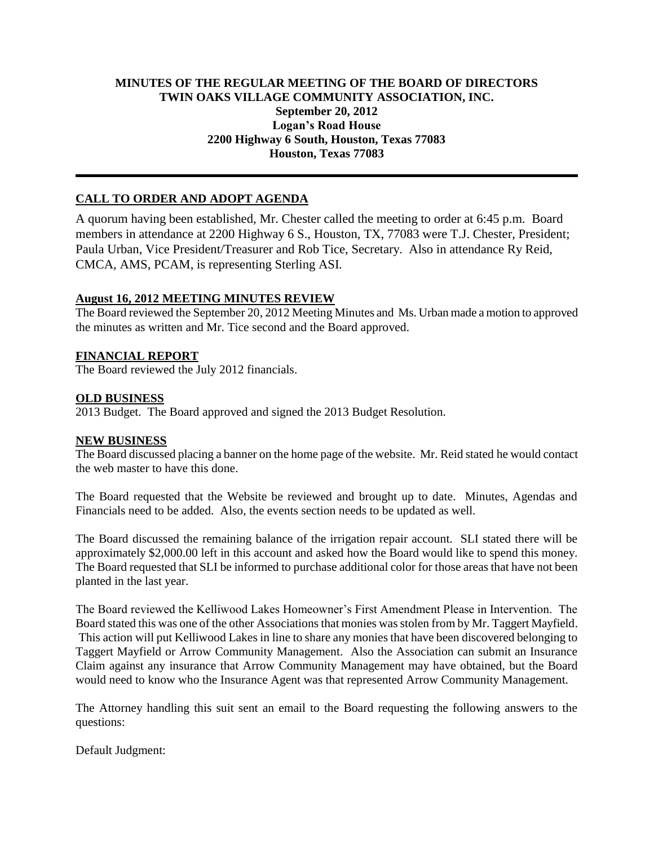# **MINUTES OF THE REGULAR MEETING OF THE BOARD OF DIRECTORS TWIN OAKS VILLAGE COMMUNITY ASSOCIATION, INC. September 20, 2012 Logan's Road House 2200 Highway 6 South, Houston, Texas 77083 Houston, Texas 77083**

# **CALL TO ORDER AND ADOPT AGENDA**

A quorum having been established, Mr. Chester called the meeting to order at 6:45 p.m. Board members in attendance at 2200 Highway 6 S., Houston, TX, 77083 were T.J. Chester, President; Paula Urban, Vice President/Treasurer and Rob Tice, Secretary. Also in attendance Ry Reid, CMCA, AMS, PCAM, is representing Sterling ASI.

## **August 16, 2012 MEETING MINUTES REVIEW**

The Board reviewed the September 20, 2012 Meeting Minutes and Ms. Urban made a motion to approved the minutes as written and Mr. Tice second and the Board approved.

## **FINANCIAL REPORT**

The Board reviewed the July 2012 financials.

#### **OLD BUSINESS**

2013 Budget. The Board approved and signed the 2013 Budget Resolution.

#### **NEW BUSINESS**

The Board discussed placing a banner on the home page of the website. Mr. Reid stated he would contact the web master to have this done.

The Board requested that the Website be reviewed and brought up to date. Minutes, Agendas and Financials need to be added. Also, the events section needs to be updated as well.

The Board discussed the remaining balance of the irrigation repair account. SLI stated there will be approximately \$2,000.00 left in this account and asked how the Board would like to spend this money. The Board requested that SLI be informed to purchase additional color for those areas that have not been planted in the last year.

The Board reviewed the Kelliwood Lakes Homeowner's First Amendment Please in Intervention. The Board stated this was one of the other Associations that monies was stolen from by Mr. Taggert Mayfield. This action will put Kelliwood Lakes in line to share any monies that have been discovered belonging to Taggert Mayfield or Arrow Community Management. Also the Association can submit an Insurance Claim against any insurance that Arrow Community Management may have obtained, but the Board would need to know who the Insurance Agent was that represented Arrow Community Management.

The Attorney handling this suit sent an email to the Board requesting the following answers to the questions:

Default Judgment: